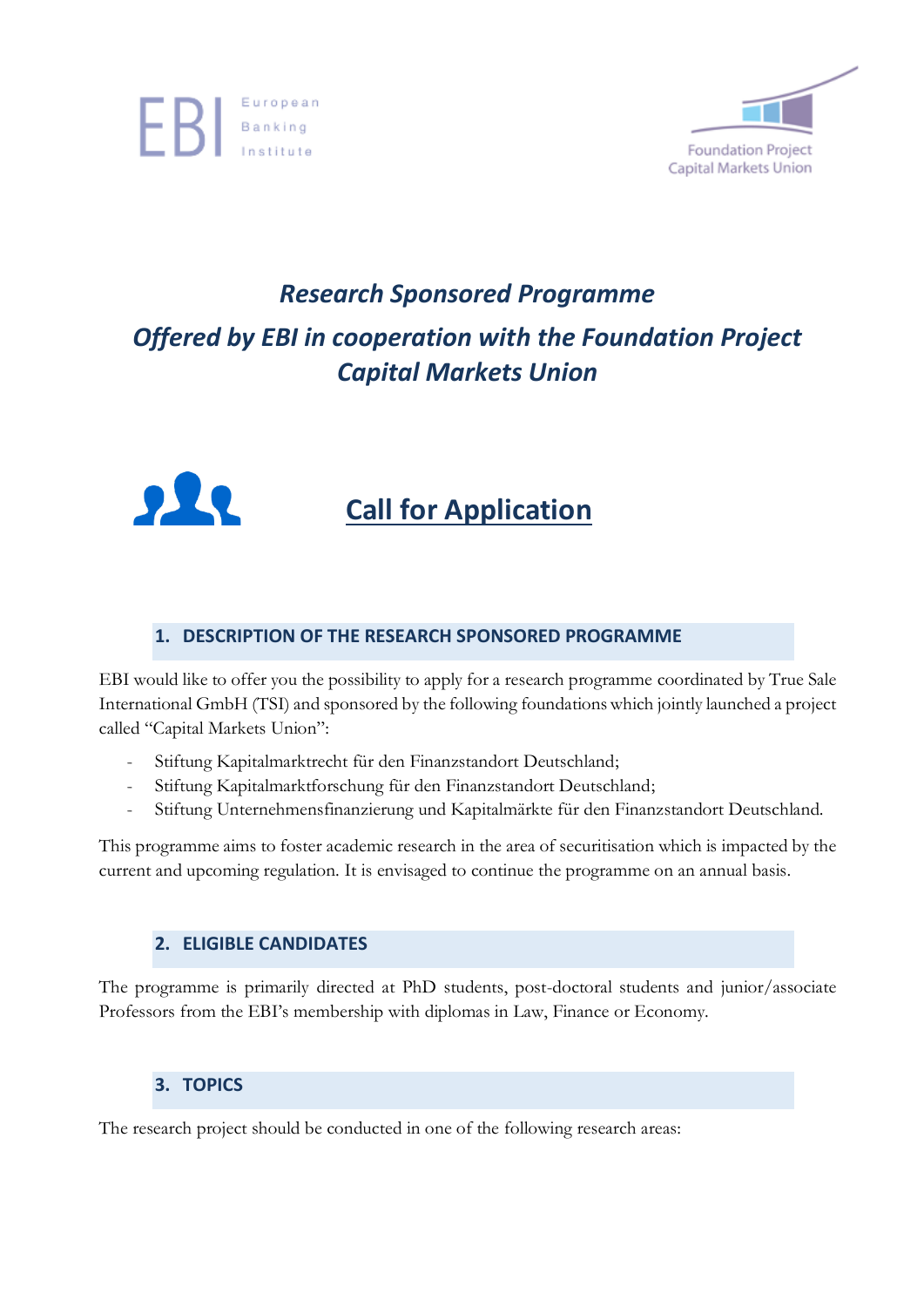



### *Research Sponsored Programme Offered by EBI in cooperation with the Foundation Project Capital Markets Union*



### **Call for Application**

#### **1. DESCRIPTION OF THE RESEARCH SPONSORED PROGRAMME**

EBI would like to offer you the possibility to apply for a research programme coordinated by True Sale International GmbH (TSI) and sponsored by the following foundationswhich jointly launched a project called "Capital Markets Union":

- Stiftung Kapitalmarktrecht für den Finanzstandort Deutschland;
- Stiftung Kapitalmarktforschung für den Finanzstandort Deutschland;
- Stiftung Unternehmensfinanzierung und Kapitalmärkte für den Finanzstandort Deutschland.

This programme aims to foster academic research in the area of securitisation which is impacted by the current and upcoming regulation. It is envisaged to continue the programme on an annual basis.

#### **2. ELIGIBLE CANDIDATES**

The programme is primarily directed at PhD students, post-doctoral students and junior/associate Professors from the EBI's membership with diplomas in Law, Finance or Economy.

#### **3. TOPICS**

The research project should be conducted in one of the following research areas: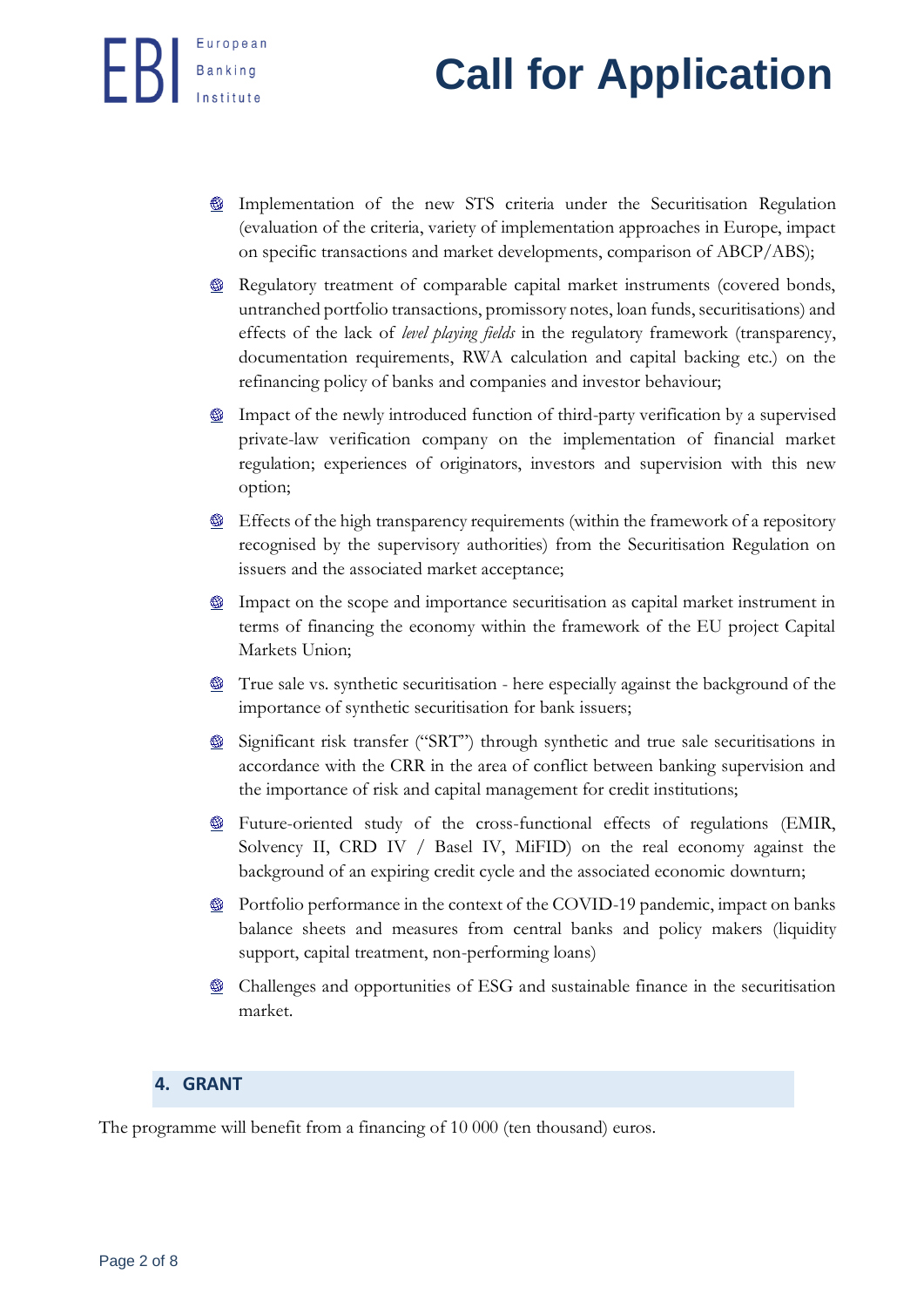## **Banking Call for Application**

- Implementation of the new STS criteria under the Securitisation Regulation (evaluation of the criteria, variety of implementation approaches in Europe, impact on specific transactions and market developments, comparison of ABCP/ABS);
- **EXECUTE 20** Regulatory treatment of comparable capital market instruments (covered bonds, untranched portfolio transactions, promissory notes, loan funds, securitisations) and effects of the lack of *level playing fields* in the regulatory framework (transparency, documentation requirements, RWA calculation and capital backing etc.) on the refinancing policy of banks and companies and investor behaviour;
- **EXECUTE:** Impact of the newly introduced function of third-party verification by a supervised private-law verification company on the implementation of financial market regulation; experiences of originators, investors and supervision with this new option;
- $\bullet$  Effects of the high transparency requirements (within the framework of a repository recognised by the supervisory authorities) from the Securitisation Regulation on issuers and the associated market acceptance;
- $\bullet$  Impact on the scope and importance securitisation as capital market instrument in terms of financing the economy within the framework of the EU project Capital Markets Union;
- True sale vs. synthetic securitisation here especially against the background of the importance of synthetic securitisation for bank issuers;
- Significant risk transfer ("SRT") through synthetic and true sale securitisations in accordance with the CRR in the area of conflict between banking supervision and the importance of risk and capital management for credit institutions;
- **Exercise** Future-oriented study of the cross-functional effects of regulations (EMIR, Solvency II, CRD IV / Basel IV, MiFID) on the real economy against the background of an expiring credit cycle and the associated economic downturn;
- $\bullet$  Portfolio performance in the context of the COVID-19 pandemic, impact on banks balance sheets and measures from central banks and policy makers (liquidity support, capital treatment, non-performing loans)
- $\bullet$  Challenges and opportunities of ESG and sustainable finance in the securitisation market.

### **4. GRANT**

The programme will benefit from a financing of 10 000 (ten thousand) euros.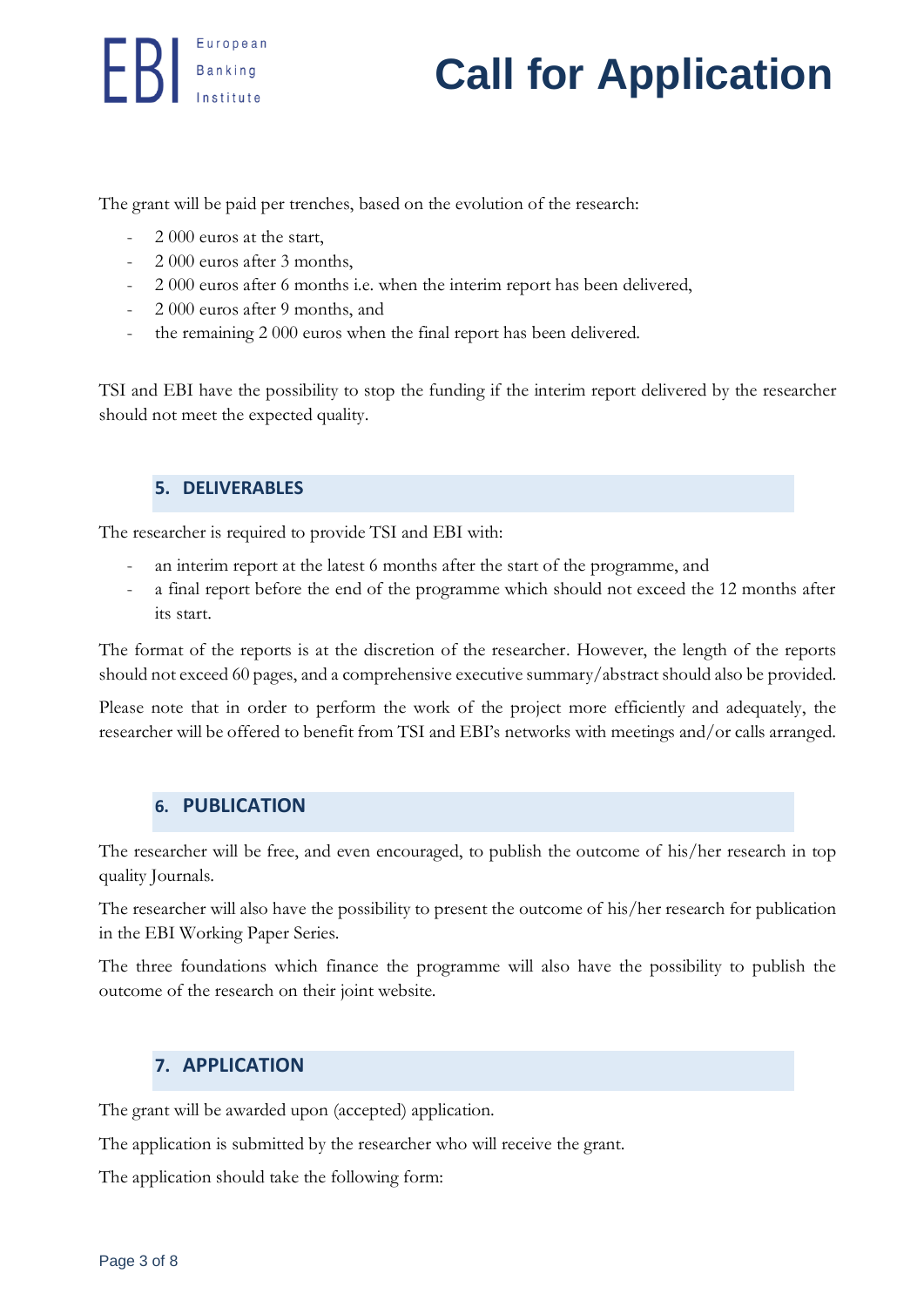## **European**<br>**Call for Application**

The grant will be paid per trenches, based on the evolution of the research:

- 2 000 euros at the start,
- 2 000 euros after 3 months,
- 2 000 euros after 6 months i.e. when the interim report has been delivered,
- 2 000 euros after 9 months, and
- the remaining 2 000 euros when the final report has been delivered.

TSI and EBI have the possibility to stop the funding if the interim report delivered by the researcher should not meet the expected quality.

#### **5. DELIVERABLES**

The researcher is required to provide TSI and EBI with:

- an interim report at the latest 6 months after the start of the programme, and
- a final report before the end of the programme which should not exceed the 12 months after its start.

The format of the reports is at the discretion of the researcher. However, the length of the reports should not exceed 60 pages, and a comprehensive executive summary/abstract should also be provided.

Please note that in order to perform the work of the project more efficiently and adequately, the researcher will be offered to benefit from TSI and EBI's networks with meetings and/or calls arranged.

#### **6. PUBLICATION**

The researcher will be free, and even encouraged, to publish the outcome of his/her research in top quality Journals.

The researcher will also have the possibility to present the outcome of his/her research for publication in the EBI Working Paper Series.

The three foundations which finance the programme will also have the possibility to publish the outcome of the research on their joint website.

#### **7. APPLICATION**

The grant will be awarded upon (accepted) application.

The application is submitted by the researcher who will receive the grant.

The application should take the following form: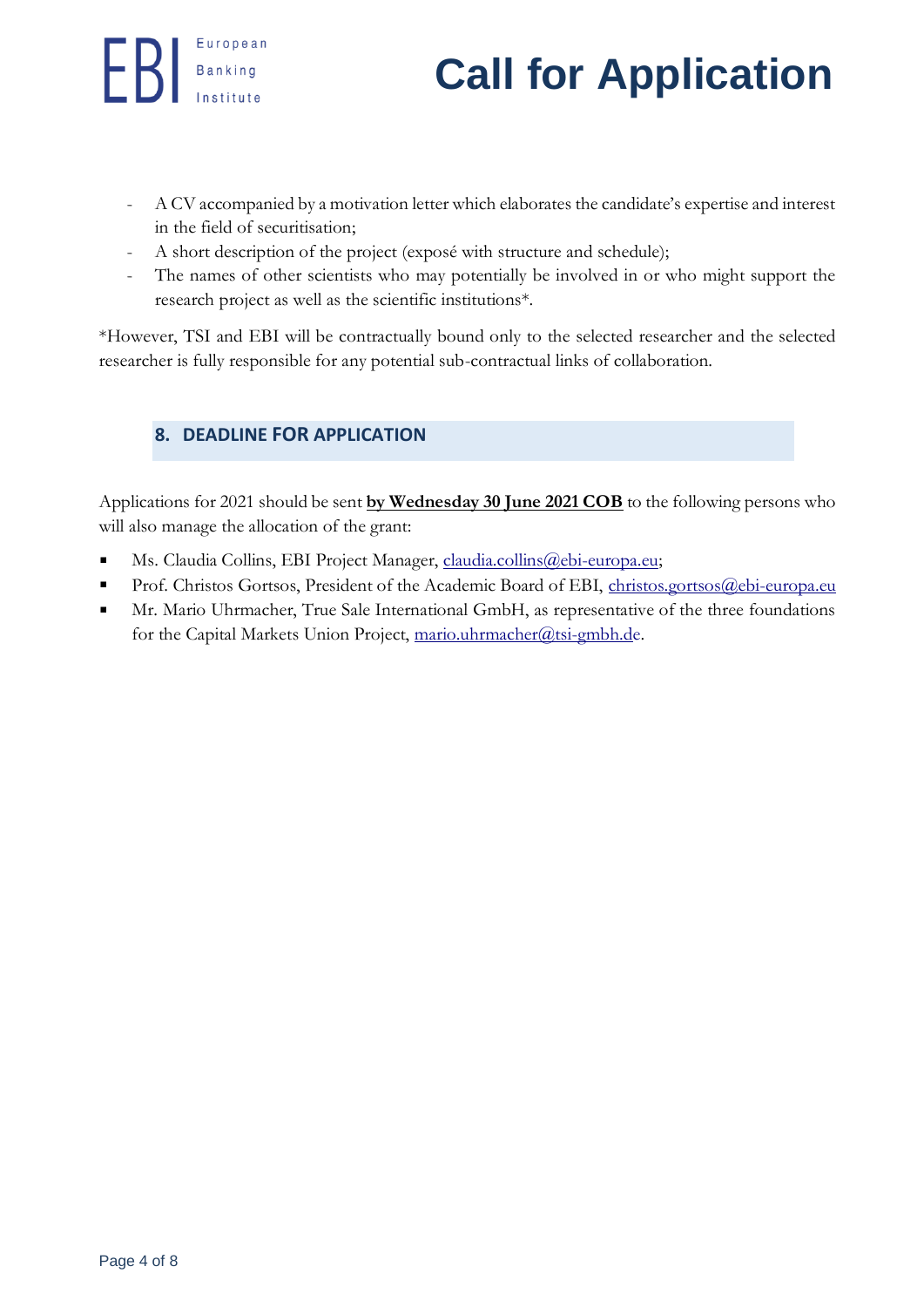## **European**<br>**Call for Application**

- A CV accompanied by a motivation letter which elaborates the candidate's expertise and interest in the field of securitisation;
- A short description of the project (exposé with structure and schedule);
- The names of other scientists who may potentially be involved in or who might support the research project as well as the scientific institutions\*.

\*However, TSI and EBI will be contractually bound only to the selected researcher and the selected researcher is fully responsible for any potential sub-contractual links of collaboration.

#### **8. DEADLINE FOR APPLICATION**

Applications for 2021 should be sent **by Wednesday 30 June 2021 COB** to the following persons who will also manage the allocation of the grant:

- Ms. Claudia Collins, EBI Project Manager, [claudia.collins@ebi-europa.eu;](mailto:claudia.collins@ebi-europa.eu?subject=claudia.collins@ebi-europa.eu)  $\blacksquare$
- $\blacksquare$ Prof. Christos Gortsos, President of the Academic Board of EBI, [christos.gortsos@ebi-europa.eu](mailto:christos.gortsos@ebi-europa.eu)
- Mr. Mario Uhrmacher, True Sale International GmbH, as representative of the three foundations  $\blacksquare$ for the Capital Markets Union Project, [mario.uhrmacher@tsi-gmbh.de.](mailto:mario.uhrmacher@tsi-gmbh.de)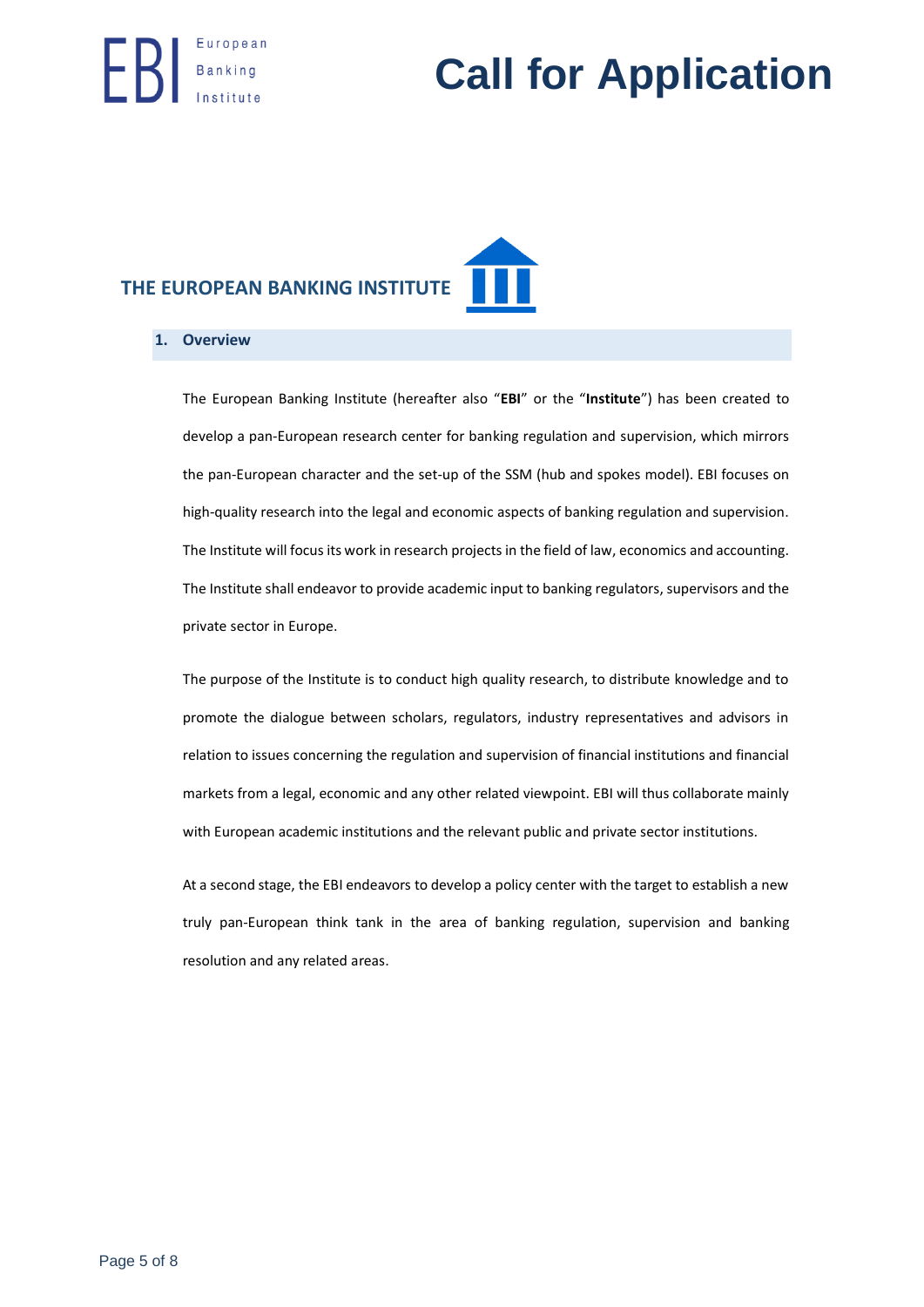## **European**<br>**Call for Application**

### **THE EUROPEAN BANKING INSTITUTE**

#### **1. Overview**

The European Banking Institute (hereafter also "**EBI**" or the "**Institute**") has been created to develop a pan-European research center for banking regulation and supervision, which mirrors the pan-European character and the set-up of the SSM (hub and spokes model). EBI focuses on high-quality research into the legal and economic aspects of banking regulation and supervision. The Institute will focus its work in research projects in the field of law, economics and accounting. The Institute shall endeavor to provide academic input to banking regulators, supervisors and the private sector in Europe.

The purpose of the Institute is to conduct high quality research, to distribute knowledge and to promote the dialogue between scholars, regulators, industry representatives and advisors in relation to issues concerning the regulation and supervision of financial institutions and financial markets from a legal, economic and any other related viewpoint. EBI will thus collaborate mainly with European academic institutions and the relevant public and private sector institutions.

At a second stage, the EBI endeavors to develop a policy center with the target to establish a new truly pan-European think tank in the area of banking regulation, supervision and banking resolution and any related areas.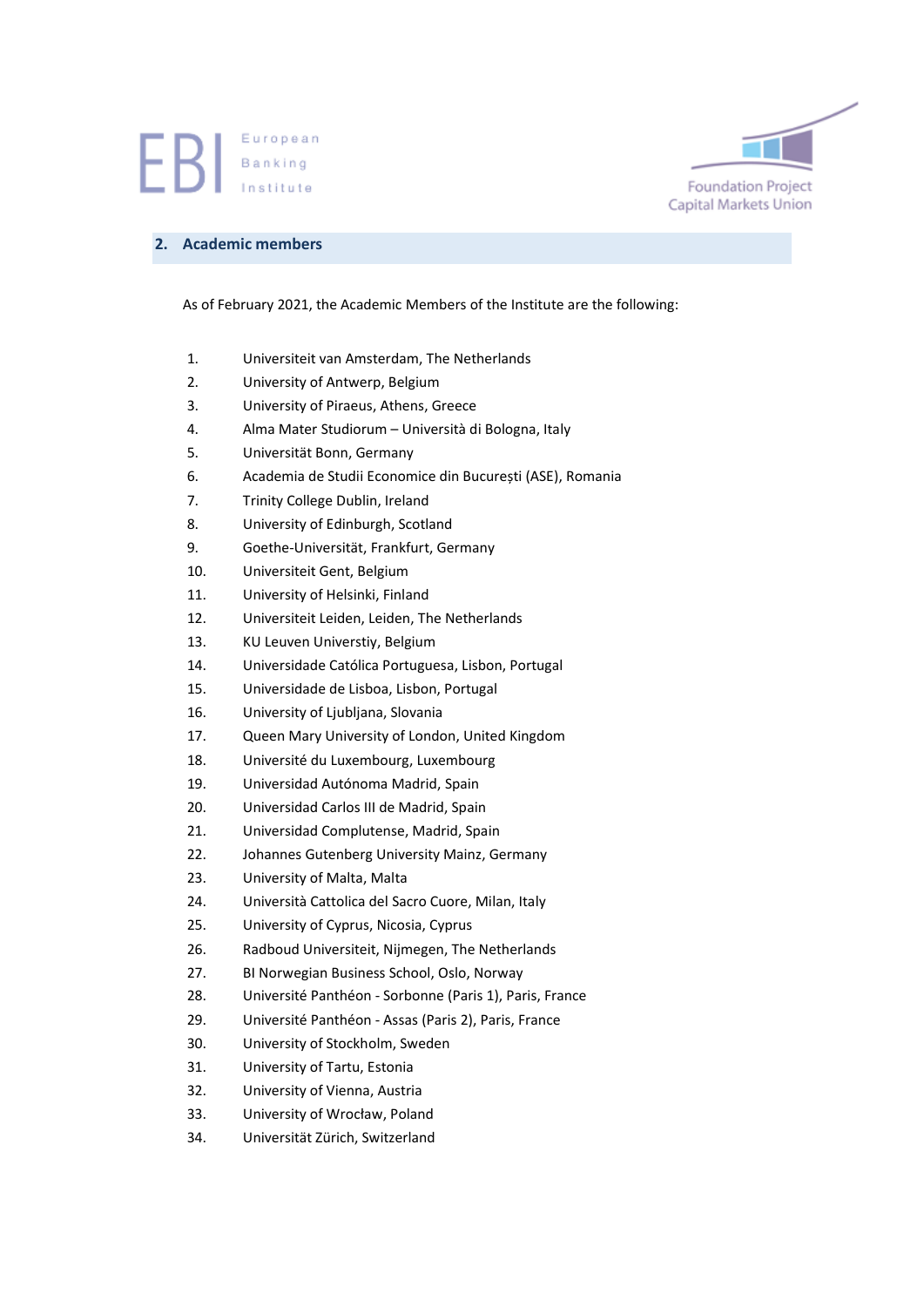

#### **2. Academic members**

As of February 2021, the Academic Members of the Institute are the following:

- 1. Universiteit van Amsterdam, The Netherlands
- 2. University of Antwerp, Belgium
- 3. University of Piraeus, Athens, Greece
- 4. Alma Mater Studiorum Università di Bologna, Italy
- 5. Universität Bonn, Germany
- 6. Academia de Studii Economice din București (ASE), Romania
- 7. Trinity College Dublin, Ireland
- 8. University of Edinburgh, Scotland
- 9. Goethe-Universität, Frankfurt, Germany
- 10. Universiteit Gent, Belgium
- 11. University of Helsinki, Finland
- 12. Universiteit Leiden, Leiden, The Netherlands
- 13. KU Leuven Universtiy, Belgium
- 14. Universidade Católica Portuguesa, Lisbon, Portugal
- 15. Universidade de Lisboa, Lisbon, Portugal
- 16. University of Ljubljana, Slovania
- 17. Queen Mary University of London, United Kingdom
- 18. Université du Luxembourg, Luxembourg
- 19. Universidad Autónoma Madrid, Spain
- 20. Universidad Carlos III de Madrid, Spain
- 21. Universidad Complutense, Madrid, Spain
- 22. Johannes Gutenberg University Mainz, Germany
- 23. University of Malta, Malta
- 24. Università Cattolica del Sacro Cuore, Milan, Italy
- 25. University of Cyprus, Nicosia, Cyprus
- 26. Radboud Universiteit, Nijmegen, The Netherlands
- 27. BI Norwegian Business School, Oslo, Norway
- 28. Université Panthéon Sorbonne (Paris 1), Paris, France
- 29. Université Panthéon Assas (Paris 2), Paris, France
- 30. University of Stockholm, Sweden
- 31. University of Tartu, Estonia
- 32. University of Vienna, Austria
- 33. University of Wrocław, Poland
- 34. Universität Zürich, Switzerland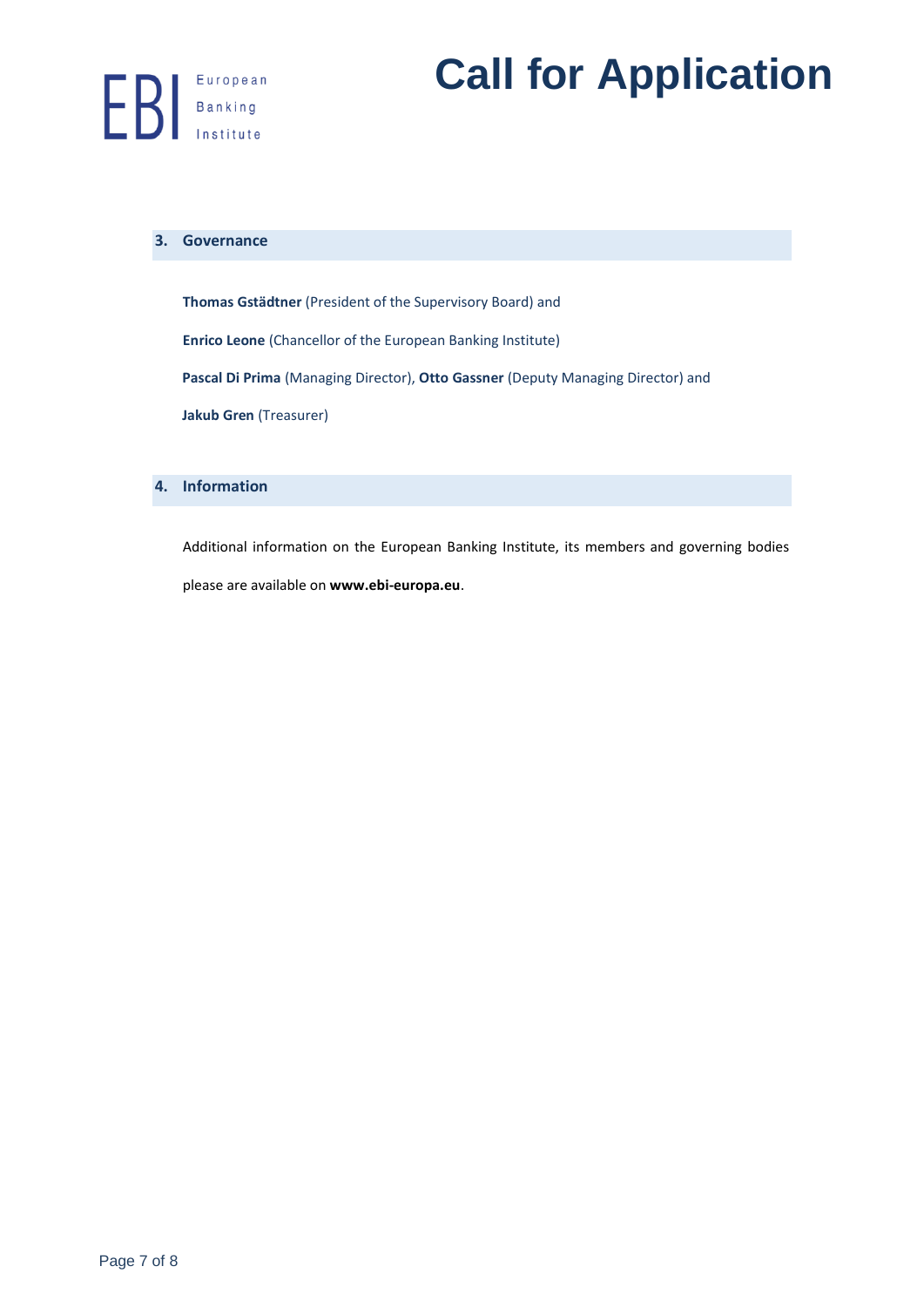# **EXPRESERVISHEREN EXPRESS CALL for Application**

#### **3. Governance**

**Thomas Gstädtner** (President of the Supervisory Board) and **Enrico Leone** (Chancellor of the European Banking Institute) **Pascal Di Prima** (Managing Director), **Otto Gassner** (Deputy Managing Director) and **Jakub Gren** (Treasurer)

#### **4. Information**

Additional information on the European Banking Institute, its members and governing bodies please are available on **[www.ebi-europa.eu](http://www.ebi-europa.eu/)**.